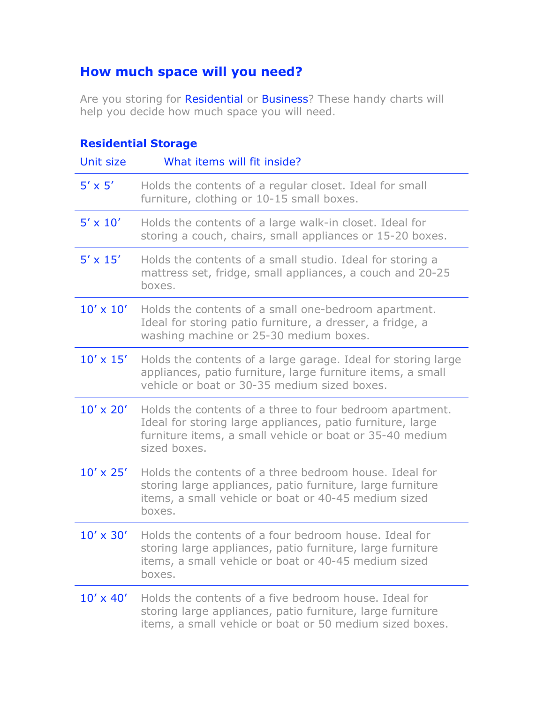## **How much space will you need?**

Are you storing for Residential or Business? These handy charts will help you decide how much space you will need.

| <b>Residential Storage</b> |                                                                                                                                                                                                    |  |
|----------------------------|----------------------------------------------------------------------------------------------------------------------------------------------------------------------------------------------------|--|
| Unit size                  | What items will fit inside?                                                                                                                                                                        |  |
| $5' \times 5'$             | Holds the contents of a regular closet. Ideal for small<br>furniture, clothing or 10-15 small boxes.                                                                                               |  |
| $5' \times 10'$            | Holds the contents of a large walk-in closet. Ideal for<br>storing a couch, chairs, small appliances or 15-20 boxes.                                                                               |  |
| $5' \times 15'$            | Holds the contents of a small studio. Ideal for storing a<br>mattress set, fridge, small appliances, a couch and 20-25<br>boxes.                                                                   |  |
| $10' \times 10'$           | Holds the contents of a small one-bedroom apartment.<br>Ideal for storing patio furniture, a dresser, a fridge, a<br>washing machine or 25-30 medium boxes.                                        |  |
| $10' \times 15'$           | Holds the contents of a large garage. Ideal for storing large<br>appliances, patio furniture, large furniture items, a small<br>vehicle or boat or 30-35 medium sized boxes.                       |  |
| $10' \times 20'$           | Holds the contents of a three to four bedroom apartment.<br>Ideal for storing large appliances, patio furniture, large<br>furniture items, a small vehicle or boat or 35-40 medium<br>sized boxes. |  |
| $10' \times 25'$           | Holds the contents of a three bedroom house. Ideal for<br>storing large appliances, patio furniture, large furniture<br>items, a small vehicle or boat or 40-45 medium sized<br>boxes.             |  |
| $10' \times 30'$           | Holds the contents of a four bedroom house. Ideal for<br>storing large appliances, patio furniture, large furniture<br>items, a small vehicle or boat or 40-45 medium sized<br>boxes.              |  |
| $10' \times 40'$           | Holds the contents of a five bedroom house. Ideal for<br>storing large appliances, patio furniture, large furniture<br>items, a small vehicle or boat or 50 medium sized boxes.                    |  |